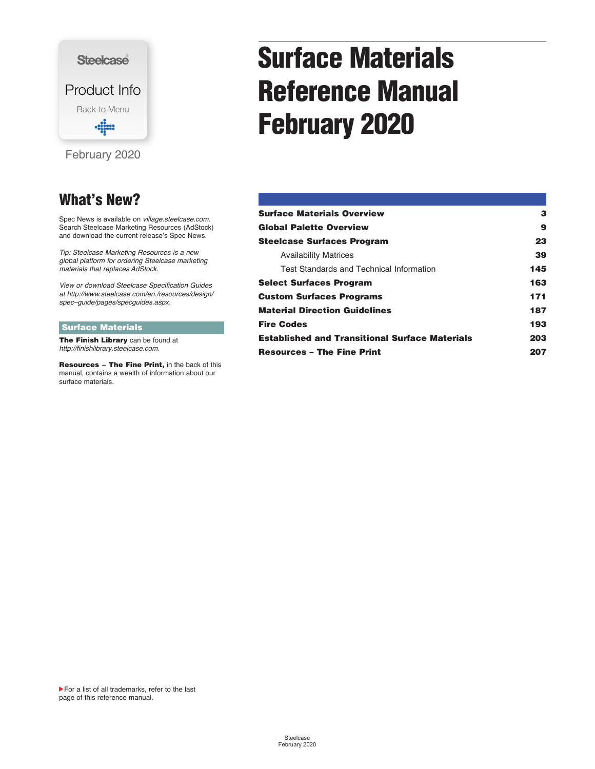<span id="page-0-0"></span>

### **What's New?**

Spec News is available on *[village.steelcase.com.](https://village.steelcase.com)* Search Steelcase Marketing Resources (AdStock) and download the current release's Spec News.

*Tip: Steelcase Marketing Resources is a new global platform for ordering Steelcase marketing materials that replaces AdStock.*

*[View or download Steelcase Specification Guides](http://www.steelcase.com/en./resources/design/spec%E2%80%93guide/pages/specguides.aspx)  at http://www.steelcase.com/en./resources/design/ spec–guide/pages/specguides.aspx.*

#### **Surface Materials**

**The Finish Library** can be found at *[http://finishlibrary.steelcase.com.](http://finishlibrary.steelcase.com)*

**Resources The Fine Print,** in the back of this manual, contains a wealth of information about our surface materials.

# **Surface Materials Reference Manual February 2020**

| <b>Surface Materials Overview</b>                     | з   |
|-------------------------------------------------------|-----|
| <b>Global Palette Overview</b>                        | 9   |
| <b>Steelcase Surfaces Program</b>                     | 23  |
| <b>Availability Matrices</b>                          | 39  |
| Test Standards and Technical Information              | 145 |
| <b>Select Surfaces Program</b>                        | 163 |
| <b>Custom Surfaces Programs</b>                       | 171 |
| <b>Material Direction Guidelines</b>                  | 187 |
| <b>Fire Codes</b>                                     | 193 |
| <b>Established and Transitional Surface Materials</b> | 203 |
| <b>Resources - The Fine Print</b>                     | 207 |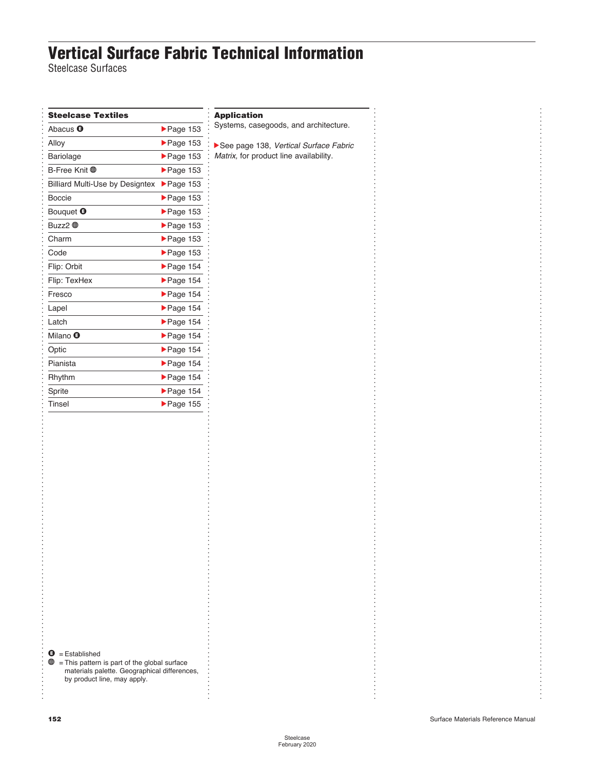## **Vertical Surface Fabric Technical Information**

. . . . . . . . . . . . . . . . . . . . . . . . . . . . . . . . . . . . . . . . . . . . . . . . . . . . . . . . . . . . .

Steelcase Surfaces

| <b>Steelcase Textiles</b>              |                                | <b>Application</b>                |
|----------------------------------------|--------------------------------|-----------------------------------|
| Abacus <sup>O</sup>                    | $\blacktriangleright$ Page 153 | Systems, case                     |
| Alloy                                  | $\blacktriangleright$ Page 153 | $\blacktriangleright$ See page 13 |
| Bariolage                              | $\blacktriangleright$ Page 153 | Matrix, for pro                   |
| B-Free Knit <b>⊕</b>                   | $\blacktriangleright$ Page 153 |                                   |
| <b>Billiard Multi-Use by Designtex</b> | $\blacktriangleright$ Page 153 |                                   |
| <b>Boccie</b>                          | $\blacktriangleright$ Page 153 |                                   |
| Bouquet <sup>O</sup>                   | $\blacktriangleright$ Page 153 |                                   |
| Buzz2 <del>®</del>                     | $\blacktriangleright$ Page 153 |                                   |
| Charm                                  | $\blacktriangleright$ Page 153 |                                   |
| Code                                   | $\blacktriangleright$ Page 153 |                                   |
| Flip: Orbit                            | $\blacktriangleright$ Page 154 |                                   |
| Flip: TexHex                           | $\blacktriangleright$ Page 154 |                                   |
| Fresco                                 | $\blacktriangleright$ Page 154 |                                   |
| Lapel                                  | $\blacktriangleright$ Page 154 |                                   |
| Latch                                  | $\blacktriangleright$ Page 154 |                                   |
| Milano <sup>O</sup>                    | $\blacktriangleright$ Page 154 |                                   |
| Optic                                  | $\blacktriangleright$ Page 154 |                                   |
| Pianista                               | $\blacktriangleright$ Page 154 |                                   |
| Rhythm                                 | $\blacktriangleright$ Page 154 |                                   |
| Sprite                                 | $\blacktriangleright$ Page 154 |                                   |
|                                        | $\blacktriangleright$ Page 155 |                                   |

### $\bullet$  = Established

 $\mathbf{\oplus}$  = This pattern is part of the global surface materials palette. Geographical differences, by product line, may apply.

egoods, and architecture.

38, Vertical Surface Fabric **Matrick** ine availability.

. . . . . . . . . . . . . . . . . . . . . . . . . . . . . . . . . . . . . . . . . . . . . . . . . . . . . . . . . . . . . . . . . . . . . . . . . . . . . . . . . . . . . . . . . . . . . . . . . . . . . . . . . . . . . . . . . . . . . . . . . . . . . . . . . . . . . . . . . . . . . . .

. . . . . . . . . . . . . . . . . . . . . . . . . . . . . . . . . . . . . . . . . . . . . . . . . . . . . . . . . . . . . . . . . . . . . . . . . . . . . . . . . . . . . . . . . . . . . . . . . . . . . . . . . . . . . . . . . . . . . . . . . . . . . . . . . . . . . . . . . . . . . . . . . . . . . . . . . . . . . . . . . . . . . . . . . . . . . . . . . . . . . . . . . . . . . . . . .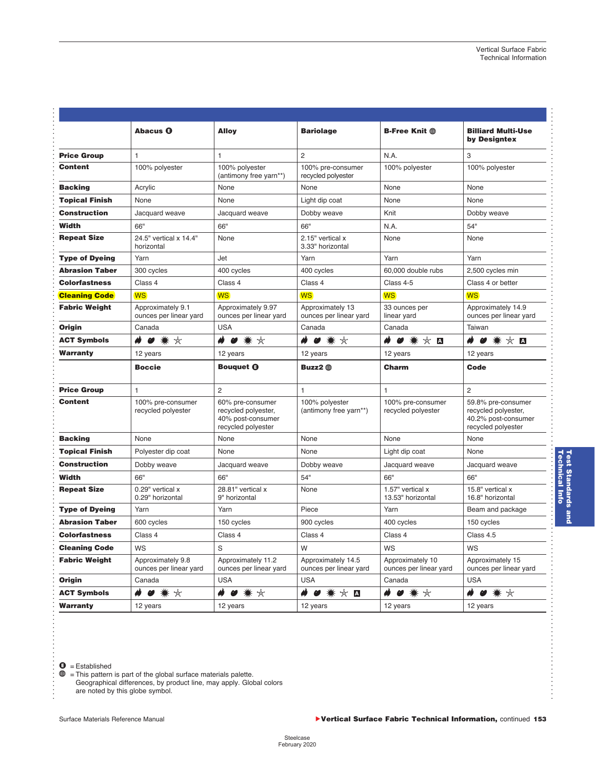|                                                                                                                                                 | <b>Abacus O</b>                             | <b>Alloy</b>                                                                       | <b>Bariolage</b>                             | <b>B-Free Knit the</b>                     | <b>Billiard Multi-Use</b><br>by Designtex                                              |
|-------------------------------------------------------------------------------------------------------------------------------------------------|---------------------------------------------|------------------------------------------------------------------------------------|----------------------------------------------|--------------------------------------------|----------------------------------------------------------------------------------------|
| <b>Price Group</b>                                                                                                                              | $\mathbf{1}$                                | $\mathbf{1}$                                                                       | $\overline{2}$                               | N.A.                                       | 3                                                                                      |
| <b>Content</b>                                                                                                                                  | 100% polyester                              | 100% polyester<br>(antimony free yarn**)                                           | 100% pre-consumer<br>recycled polyester      | 100% polyester                             | 100% polyester                                                                         |
| <b>Backing</b>                                                                                                                                  | Acrylic                                     | None                                                                               | None                                         | None                                       | None                                                                                   |
| <b>Topical Finish</b>                                                                                                                           | None                                        | None                                                                               | Light dip coat                               | None                                       | None                                                                                   |
| Construction                                                                                                                                    | Jacquard weave                              | Jacquard weave                                                                     | Dobby weave                                  | Knit                                       | Dobby weave                                                                            |
| Width                                                                                                                                           | 66"                                         | 66"                                                                                | 66"                                          | N.A.                                       | 54"                                                                                    |
| <b>Repeat Size</b>                                                                                                                              | 24.5" vertical x 14.4"<br>horizontal        | None                                                                               | 2.15" vertical x<br>3.33" horizontal         | None                                       | None                                                                                   |
| <b>Type of Dyeing</b>                                                                                                                           | Yarn                                        | Jet                                                                                | Yarn                                         | Yarn                                       | Yarn                                                                                   |
| Abrasion Taber                                                                                                                                  | 300 cycles                                  | 400 cycles                                                                         | 400 cycles                                   | 60,000 double rubs                         | 2,500 cycles min                                                                       |
| Colorfastness                                                                                                                                   | Class 4                                     | Class 4                                                                            | Class 4                                      | Class 4-5                                  | Class 4 or better                                                                      |
| <b>Cleaning Code</b>                                                                                                                            | <b>WS</b>                                   | <b>WS</b>                                                                          | <b>WS</b>                                    | <b>WS</b>                                  | <b>WS</b>                                                                              |
| <b>Fabric Weight</b>                                                                                                                            | Approximately 9.1<br>ounces per linear yard | Approximately 9.97<br>ounces per linear yard                                       | Approximately 13<br>ounces per linear yard   | 33 ounces per<br>linear yard               | Approximately 14.9<br>ounces per linear yard                                           |
| Origin                                                                                                                                          | Canada                                      | <b>USA</b>                                                                         | Canada                                       | Canada                                     | Taiwan                                                                                 |
| <b>ACT Symbols</b>                                                                                                                              | ● 兼 ☆<br>₩                                  | ŵ                                                                                  | ● 案 ☆<br>ŵ                                   | $\bullet$ * $\times$ $\blacksquare$<br>Ø   | $\bullet$ * $\times$ $\blacksquare$<br>ø                                               |
| Warranty                                                                                                                                        | 12 years                                    | 12 years                                                                           | 12 years                                     | 12 years                                   | 12 years                                                                               |
|                                                                                                                                                 | <b>Boccie</b>                               | <b>Bouauet @</b>                                                                   | Buzz2 <b>the</b>                             | Charm                                      | Code                                                                                   |
| <b>Price Group</b>                                                                                                                              | $\mathbf{1}$                                | $\overline{2}$                                                                     | $\mathbf{1}$                                 | $\mathbf{1}$                               | $\overline{2}$                                                                         |
| <b>Content</b>                                                                                                                                  | 100% pre-consumer<br>recycled polyester     | 60% pre-consumer<br>recycled polyester,<br>40% post-consumer<br>recycled polyester | 100% polyester<br>(antimony free yarn**)     | 100% pre-consumer<br>recycled polyester    | 59.8% pre-consumer<br>recycled polyester,<br>40.2% post-consumer<br>recycled polyester |
| <b>Backing</b>                                                                                                                                  | None                                        | None                                                                               | None                                         | None                                       | None                                                                                   |
| <b>Topical Finish</b>                                                                                                                           | Polyester dip coat                          | None                                                                               | None                                         | Light dip coat                             | None                                                                                   |
| Construction                                                                                                                                    | Dobby weave                                 | Jacquard weave                                                                     | Dobby weave                                  | Jacquard weave                             | Jacquard weave                                                                         |
| Width                                                                                                                                           | 66"                                         | 66"                                                                                | 54"                                          | 66"                                        | 66"                                                                                    |
| <b>Repeat Size</b>                                                                                                                              | 0.29" vertical x<br>0.29" horizontal        | 28.81" vertical x<br>9" horizontal                                                 | None                                         | 1.57" vertical x<br>13.53" horizontal      | 15.8" vertical x<br>16.8" horizontal                                                   |
|                                                                                                                                                 | Yarn                                        | Yarn                                                                               | Piece                                        | Yarn                                       | Beam and package                                                                       |
|                                                                                                                                                 |                                             |                                                                                    |                                              |                                            |                                                                                        |
|                                                                                                                                                 | 600 cycles                                  | 150 cycles                                                                         | 900 cycles                                   | 400 cycles                                 | 150 cycles                                                                             |
|                                                                                                                                                 | Class 4                                     | Class 4                                                                            | Class 4                                      | Class 4                                    | Class 4.5                                                                              |
|                                                                                                                                                 | WS                                          | S                                                                                  | W                                            | WS                                         | WS                                                                                     |
|                                                                                                                                                 | Approximately 9.8<br>ounces per linear yard | Approximately 11.2<br>ounces per linear yard                                       | Approximately 14.5<br>ounces per linear yard | Approximately 10<br>ounces per linear yard | Approximately 15<br>ounces per linear yard                                             |
|                                                                                                                                                 | Canada                                      | <b>USA</b>                                                                         | <b>USA</b>                                   | Canada                                     | <b>USA</b>                                                                             |
| <b>Type of Dyeing</b><br><b>Abrasion Taber</b><br>Colorfastness<br><b>Cleaning Code</b><br><b>Fabric Weight</b><br>Origin<br><b>ACT Symbols</b> |                                             | * *<br>ø                                                                           | ₩<br>$\bullet$ * $\times$ $\blacksquare$     | ŵ<br>**<br>$\boldsymbol{\omega}$           | Ŵ<br>* *                                                                               |

<span id="page-2-0"></span>. . . . . . . . . . . . . . . . . . . . . . . . . . . . . . . . . . . . . . . . . . . . . . . . . . . . . . . . . . . . . . . . . . . . . . . . . . . . . . . . . . . . . . . . . . . . . . . . . . . . . . . . . . . .

. . . . . . . . . . . . . . . . . . . . . . . . . . . . . . . . . . .

 $\mathbf{\oplus}$  = This pattern is part of the global surface materials palette.

Geographical differences, by product line, may apply. Global colors are noted by this globe symbol.

. . . . . . . .

. . . . . . . . . . . .

**Technical Info Test Standards and** 

**Test Standards and<br>Technical Info**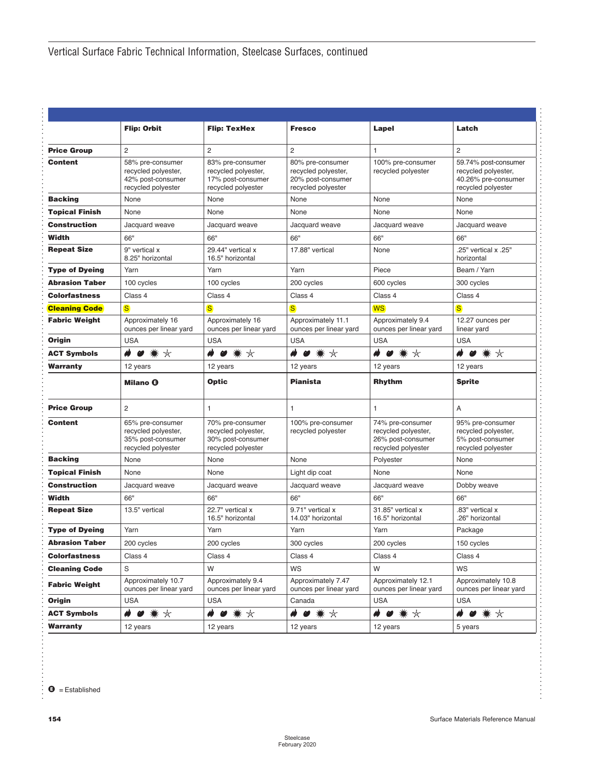<span id="page-3-0"></span>

|                       | <b>Flip: Orbit</b>                                                                 | <b>Flip: TexHex</b>                                                                | <b>Fresco</b>                                                                      | Lapel                                                                              | Latch                                                                                    |
|-----------------------|------------------------------------------------------------------------------------|------------------------------------------------------------------------------------|------------------------------------------------------------------------------------|------------------------------------------------------------------------------------|------------------------------------------------------------------------------------------|
| <b>Price Group</b>    | 2                                                                                  | 2                                                                                  | $\overline{c}$                                                                     | 1                                                                                  | $\overline{c}$                                                                           |
| <b>Content</b>        | 58% pre-consumer<br>recycled polyester,<br>42% post-consumer<br>recycled polyester | 83% pre-consumer<br>recycled polyester,<br>17% post-consumer<br>recycled polyester | 80% pre-consumer<br>recycled polyester,<br>20% post-consumer<br>recycled polyester | 100% pre-consumer<br>recycled polyester                                            | 59.74% post-consumer<br>recycled polyester,<br>40.26% pre-consumer<br>recycled polyester |
| <b>Backing</b>        | None                                                                               | None                                                                               | None                                                                               | None                                                                               | None                                                                                     |
| <b>Topical Finish</b> | None                                                                               | None                                                                               | None                                                                               | None                                                                               | None                                                                                     |
| Construction          | Jacquard weave                                                                     | Jacquard weave                                                                     | Jacquard weave                                                                     | Jacquard weave                                                                     | Jacquard weave                                                                           |
| Width                 | 66"                                                                                | 66"                                                                                | 66"                                                                                | 66"                                                                                | 66"                                                                                      |
| <b>Repeat Size</b>    | 9" vertical x<br>8.25" horizontal                                                  | 29.44" vertical x<br>16.5" horizontal                                              | 17.88" vertical                                                                    | None                                                                               | .25" vertical x .25"<br>horizontal                                                       |
| <b>Type of Dyeing</b> | Yarn                                                                               | Yarn                                                                               | Yarn                                                                               | Piece                                                                              | Beam / Yarn                                                                              |
| <b>Abrasion Taber</b> | 100 cycles                                                                         | 100 cycles                                                                         | 200 cycles                                                                         | 600 cycles                                                                         | 300 cycles                                                                               |
| <b>Colorfastness</b>  | Class 4                                                                            | Class 4                                                                            | Class 4                                                                            | Class 4                                                                            | Class 4                                                                                  |
| <b>Cleaning Code</b>  | $\overline{\mathbf{s}}$                                                            | $\overline{\mathbf{s}}$                                                            | <sub>S</sub>                                                                       | <b>WS</b>                                                                          | $\overline{\mathbf{s}}$                                                                  |
| <b>Fabric Weight</b>  | Approximately 16<br>ounces per linear yard                                         | Approximately 16<br>ounces per linear yard                                         | Approximately 11.1<br>ounces per linear yard                                       | Approximately 9.4<br>ounces per linear yard                                        | 12.27 ounces per<br>linear yard                                                          |
| Oriain                | <b>USA</b>                                                                         | <b>USA</b>                                                                         | <b>USA</b>                                                                         | <b>USA</b>                                                                         | <b>USA</b>                                                                               |
| <b>ACT Symbols</b>    | **<br>ŵ<br>$\boldsymbol{\omega}$                                                   | ● * *<br>ھ                                                                         | **<br>ŵ<br>$\boldsymbol{\omega}$                                                   | $\bullet$ * *<br>₩                                                                 | **<br>ھ<br>$\boldsymbol{\omega}$                                                         |
| Warranty              | 12 years                                                                           | 12 years                                                                           | 12 years                                                                           | 12 years                                                                           | 12 years                                                                                 |
|                       | <b>Milano @</b>                                                                    | Optic                                                                              | <b>Pianista</b>                                                                    | <b>Rhythm</b>                                                                      | <b>Sprite</b>                                                                            |
| <b>Price Group</b>    | $\overline{2}$                                                                     | 1                                                                                  | 1                                                                                  | 1                                                                                  | A                                                                                        |
| <b>Content</b>        | 65% pre-consumer<br>recycled polyester,<br>35% post-consumer<br>recycled polyester | 70% pre-consumer<br>recycled polyester,<br>30% post-consumer<br>recycled polyester | 100% pre-consumer<br>recycled polyester                                            | 74% pre-consumer<br>recycled polyester,<br>26% post-consumer<br>recycled polyester | 95% pre-consumer<br>recycled polyester,<br>5% post-consumer<br>recycled polyester        |
| <b>Backing</b>        | None                                                                               | None                                                                               | None                                                                               | Polyester                                                                          | None                                                                                     |
| <b>Topical Finish</b> | None                                                                               | None                                                                               | Light dip coat                                                                     | None                                                                               | None                                                                                     |
| <b>Construction</b>   | Jacquard weave                                                                     | Jacquard weave                                                                     | Jacquard weave                                                                     | Jacquard weave                                                                     | Dobby weave                                                                              |
| Width                 | 66"                                                                                | 66"                                                                                | 66"                                                                                | 66"                                                                                | 66"                                                                                      |
| <b>Repeat Size</b>    | 13.5" vertical                                                                     | 22.7" vertical x<br>16.5" horizontal                                               | 9.71" vertical x<br>14.03" horizontal                                              | 31.85" vertical x<br>16.5" horizontal                                              | .83" vertical x<br>.26" horizontal                                                       |
| <b>Type of Dyeing</b> | Yarn                                                                               | Yarn                                                                               | Yarn                                                                               | Yarn                                                                               | Package                                                                                  |
| <b>Abrasion Taber</b> | 200 cycles                                                                         | 200 cycles                                                                         | 300 cycles                                                                         | 200 cycles                                                                         | 150 cycles                                                                               |
| Colorfastness         | Class 4                                                                            | Class 4                                                                            | Class 4                                                                            | Class 4                                                                            | Class 4                                                                                  |
| <b>Cleaning Code</b>  | S                                                                                  | W                                                                                  | WS                                                                                 | W                                                                                  | WS                                                                                       |
| <b>Fabric Weight</b>  | Approximately 10.7<br>ounces per linear yard                                       | Approximately 9.4<br>ounces per linear yard                                        | Approximately 7.47<br>ounces per linear yard                                       | Approximately 12.1<br>ounces per linear yard                                       | Approximately 10.8<br>ounces per linear yard                                             |
| Origin                | <b>USA</b>                                                                         | <b>USA</b>                                                                         | Canada                                                                             | <b>USA</b>                                                                         | <b>USA</b>                                                                               |
| <b>ACT Symbols</b>    | **<br>Ø                                                                            | **<br>H<br>Ø                                                                       | * *<br>Ø                                                                           | **<br>ŵ<br>Ø                                                                       | * *<br>Ø                                                                                 |
| Warranty              | 12 years                                                                           | 12 years                                                                           | 12 years                                                                           | 12 years                                                                           | 5 years                                                                                  |

. . . . . . . . . . . . . . . . . . . . . . . . . . . . . . . . . . . . . . . . . . . . . . . . . . . . . . . . . . . . . . . . . . . . . . . . . . . . . . . . . . . . . . . . . . . . . . . . . . . . . . . . . . . . . . . . . . . . . . . . . . . . . . . . . . . . . . . . . . . . . . . . . . . . . . . . . . . . . .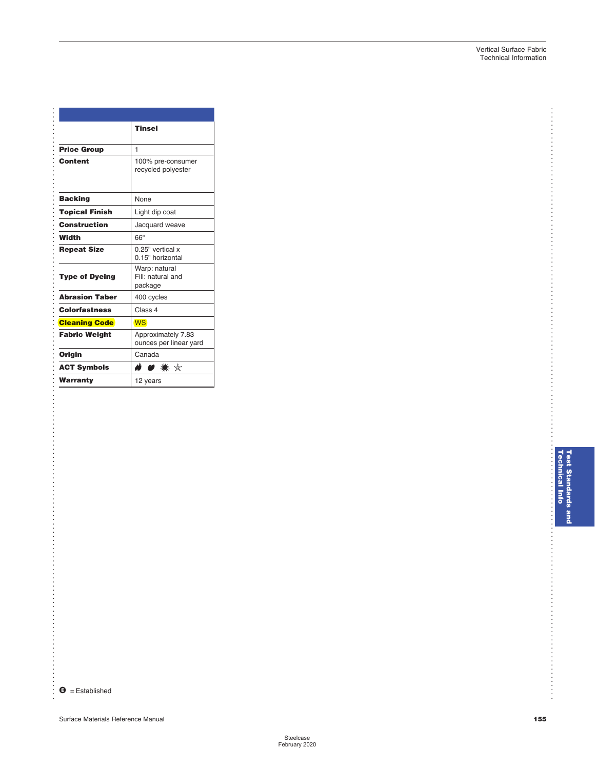|                       | <b>Tinsel</b>                                 |
|-----------------------|-----------------------------------------------|
| <b>Price Group</b>    | 1                                             |
| <b>Content</b>        | 100% pre-consumer<br>recycled polyester       |
| <b>Backing</b>        | None                                          |
| <b>Topical Finish</b> | Light dip coat                                |
| Construction          | Jacquard weave                                |
| Width                 | 66"                                           |
| <b>Repeat Size</b>    | 0.25" vertical x<br>0.15" horizontal          |
| <b>Type of Dyeing</b> | Warp: natural<br>Fill: natural and<br>package |
| <b>Abrasion Taber</b> | 400 cycles                                    |
| <b>Colorfastness</b>  | Class 4                                       |
| <b>Cleaning Code</b>  | <b>WS</b>                                     |
| <b>Fabric Weight</b>  | Approximately 7.83<br>ounces per linear yard  |
| Origin                | Canada                                        |
| <b>ACT Symbols</b>    | ● ☀ ☆                                         |
| Warranty              | 12 years                                      |

 $\bullet$  = Established

. . . . . . . .

<span id="page-4-0"></span>. . . . . . . . . . . . . . . . . . . . . . . . . . . . . . . . . . . . . . . . . . . . . . . . . . . . . . . . . . . . . . . . . . . . . . . . . . . . . . . . . . . . . . . . . . . . . . . . . . . . . . . . . . . . . . . . . . . . . . . . . . . . . . . . . . . . . . .

Surface Materials Reference Manual **[155](#page-4-0)**

..................

. . . . . . . . . . . .

..........................

. . . . . . . . .

. . . . . . . . . . . . . . . . . . . . . . . . . . . . . . . . . . . . . . . . . . . . . . . . . . . . . . . . . . . . . . . . . . . . . . . . .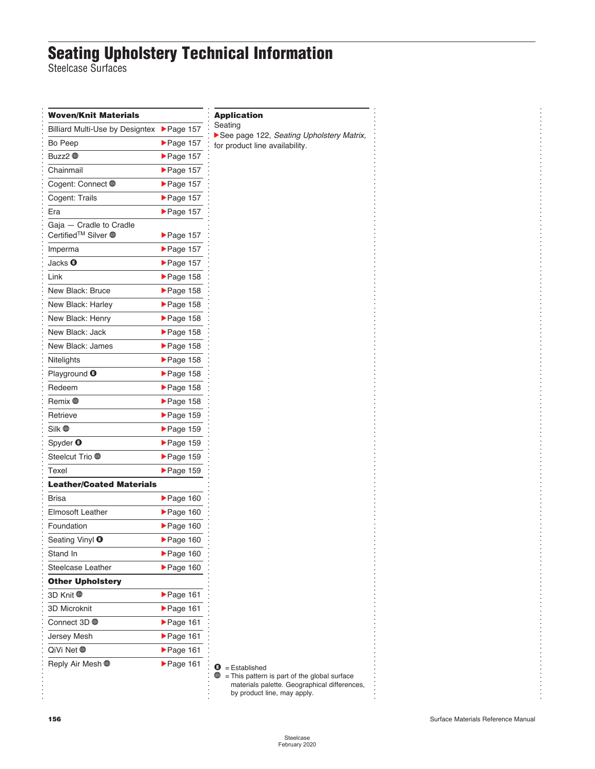### **Seating Upholstery Technical Information**

Steelcase Surfaces

| Woven/Knit Materials                                                  |                                | Applic                                   |
|-----------------------------------------------------------------------|--------------------------------|------------------------------------------|
| <b>Billiard Multi-Use by Designtex</b>                                | $\blacktriangleright$ Page 157 | Seating                                  |
| Bo Peep                                                               | $\blacktriangleright$ Page 157 | $\blacktriangleright$ See pa<br>for prod |
| Buzz2 ⊕                                                               | $\blacktriangleright$ Page 157 |                                          |
| Chainmail                                                             | $\blacktriangleright$ Page 157 |                                          |
| Cogent: Connect ⊕                                                     | $\blacktriangleright$ Page 157 |                                          |
| Cogent: Trails                                                        | Page 157                       |                                          |
| Era                                                                   | Page 157                       |                                          |
| Gaja - Cradle to Cradle<br>Certified <sup>™</sup> Silver <sup>®</sup> | $\blacktriangleright$ Page 157 |                                          |
| Imperma                                                               | $\blacktriangleright$ Page 157 |                                          |
| Jacks $\boldsymbol{\Theta}$                                           | $\blacktriangleright$ Page 157 |                                          |
| Link                                                                  | $\blacktriangleright$ Page 158 |                                          |
| New Black: Bruce                                                      | $\blacktriangleright$ Page 158 |                                          |
| New Black: Harley                                                     | $\blacktriangleright$ Page 158 |                                          |
| New Black: Henry                                                      | $\blacktriangleright$ Page 158 |                                          |
| New Black: Jack                                                       | $\blacktriangleright$ Page 158 |                                          |
| New Black: James                                                      | $\blacktriangleright$ Page 158 |                                          |
| Nitelights                                                            | $\blacktriangleright$ Page 158 |                                          |
| Playground <sup>O</sup>                                               | $\blacktriangleright$ Page 158 |                                          |
| Redeem                                                                | $\blacktriangleright$ Page 158 |                                          |
| Remix <b>⊕</b>                                                        | $\blacktriangleright$ Page 158 |                                          |
| Retrieve                                                              | $\blacktriangleright$ Page 159 |                                          |
| Silk <b>⊕</b>                                                         | $\blacktriangleright$ Page 159 |                                          |
| Spyder $\boldsymbol{\Theta}$                                          | $\blacktriangleright$ Page 159 |                                          |
|                                                                       | $\blacktriangleright$ Page 159 |                                          |
| Texel                                                                 | $\blacktriangleright$ Page 159 |                                          |
| <b>Leather/Coated Materials</b>                                       |                                |                                          |
| Brisa                                                                 | $\blacktriangleright$ Page 160 |                                          |
| <b>Elmosoft Leather</b>                                               | $\blacktriangleright$ Page 160 |                                          |
| Foundation                                                            | $\blacktriangleright$ Page 160 |                                          |
| Seating Vinyl ❶                                                       | $\blacktriangleright$ Page 160 |                                          |
| Stand In                                                              | $\blacktriangleright$ Page 160 |                                          |
| Steelcase Leather                                                     | $\blacktriangleright$ Page 160 |                                          |
| <b>Other Upholstery</b>                                               |                                |                                          |
| 3D Knit <b>⊕</b>                                                      | $\blacktriangleright$ Page 161 |                                          |
| <b>3D Microknit</b>                                                   | $\blacktriangleright$ Page 161 |                                          |
| Connect 3D <del>®</del>                                               | $\blacktriangleright$ Page 161 |                                          |
| Jersey Mesh                                                           | $\blacktriangleright$ Page 161 |                                          |
|                                                                       | $\blacktriangleright$ Page 161 |                                          |
| Reply Air Mesh <del></del>                                            | $\blacktriangleright$ Page 161 | o<br>₩                                   |
|                                                                       |                                |                                          |

#### **Application**

See [page 122,](#page--1-0) *Seating Upholstery Matrix,* for product line availability.

. . . . . . . . . . . . . . . . . . . . . . . . . . . . . . . . . . . . . . . . . . . . . . . . . . . . . . . . . . . . . . . . . . . . . . . . . . . . . . . . . . . . . . . . . . . . . . . . . . . . . . . . . . . . . . . . . . . . . . . . . . . . . . . . . . . . . . . . . . . . . . .

 $\bullet$  = Established

 $\mathbf{\oplus}$  = This pattern is part of the global surface materials palette. Geographical differences, by product line, may apply.

.<br>.<br>.<br>.<br>. . . . . . . . . . . . . . . . . . . . . . . . . . . . . . . . . . . . . . . . . . . . . . . . . . . . . . . . . . . . . . . . . . . . . . . . . . . . . . . . . . . . . . . . . . . . . . . . . . . . . . . . . . . . . . . . . . . . . . . . . . . . . . . . . . . . . . . . . .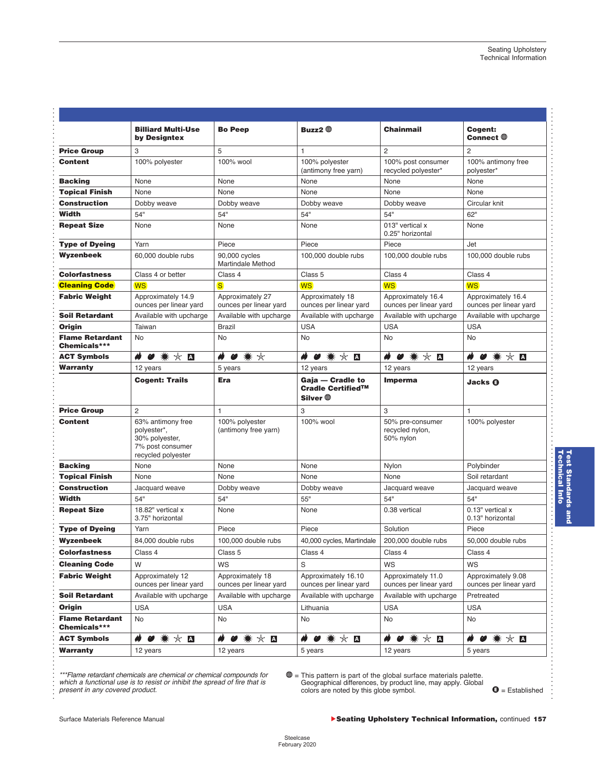.

. . . . . . . . . . . . . . . . . . .

. . . . . . . . . . . . . . . . . . . . . . . . . . . . . . . . . . . . . . . . . . . . . . . . . . . . . . . . . . . . . . . . . . . . . . . . . . . . . . . . . . . . . . . . . . . . . . . . . . . . . . . . . . . . . . . . . . . . . . . . . . .

|                                        | <b>Billiard Multi-Use</b><br>by Designtex                                                    | <b>Bo Peep</b>                             | Buzz2 $\oplus$                                    | <b>Chainmail</b>                                 | Cogent:<br>Connect $\oplus$                  |
|----------------------------------------|----------------------------------------------------------------------------------------------|--------------------------------------------|---------------------------------------------------|--------------------------------------------------|----------------------------------------------|
| <b>Price Group</b>                     | 3                                                                                            | 5                                          | 1                                                 | 2                                                | $\overline{2}$                               |
| <b>Content</b>                         | 100% polyester                                                                               | 100% wool                                  | 100% polyester<br>(antimony free yarn)            | 100% post consumer<br>recycled polyester*        | 100% antimony free<br>polyester*             |
| <b>Backing</b>                         | None                                                                                         | None                                       | None                                              | None                                             | None                                         |
| <b>Topical Finish</b>                  | None                                                                                         | None                                       | None                                              | None                                             | None                                         |
| Construction                           | Dobby weave                                                                                  | Dobby weave                                | Dobby weave                                       | Dobby weave                                      | Circular knit                                |
| Width                                  | 54"                                                                                          | 54"                                        | 54"                                               | 54"                                              | 62"                                          |
| <b>Repeat Size</b>                     | None                                                                                         | None                                       | None                                              | 013" vertical x<br>0.25" horizontal              | None                                         |
| <b>Type of Dyeing</b>                  | Yarn                                                                                         | Piece                                      | Piece                                             | Piece                                            | Jet                                          |
| Wyzenbeek                              | 60,000 double rubs                                                                           | 90,000 cycles<br>Martindale Method         | 100,000 double rubs                               | 100,000 double rubs                              | 100,000 double rubs                          |
| <b>Colorfastness</b>                   | Class 4 or better                                                                            | Class 4                                    | Class 5                                           | Class 4                                          | Class 4                                      |
| <b>Cleaning Code</b>                   | <b>WS</b>                                                                                    | $\overline{\mathbf{s}}$                    | <b>WS</b>                                         | <b>WS</b>                                        | <b>WS</b>                                    |
| <b>Fabric Weight</b>                   | Approximately 14.9<br>ounces per linear yard                                                 | Approximately 27<br>ounces per linear yard | Approximately 18<br>ounces per linear yard        | Approximately 16.4<br>ounces per linear yard     | Approximately 16.4<br>ounces per linear yard |
| Soil Retardant                         | Available with upcharge                                                                      | Available with upcharge                    | Available with upcharge                           | Available with upcharge                          | Available with upcharge                      |
| Origin                                 | Taiwan                                                                                       | <b>Brazil</b>                              | <b>USA</b>                                        | <b>USA</b>                                       | <b>USA</b>                                   |
| <b>Flame Retardant</b><br>Chemicals*** | No                                                                                           | <b>No</b>                                  | No                                                | No                                               | No                                           |
| <b>ACT Symbols</b>                     | ₩<br>☆ ∆<br>Ø<br>☀                                                                           | H<br>Ø<br>☀<br>☆                           | ŵ<br>$\star$<br>☀<br>$\overline{A}$<br>Ø          | ø<br>☆ ∆<br>Ø<br>☀                               | ₩ ☆ Д<br>Ŵ<br>Ø                              |
| <b>Warranty</b>                        | 12 years                                                                                     | 5 years                                    | 12 years                                          | 12 years                                         | 12 years                                     |
|                                        | <b>Cogent: Trails</b>                                                                        | Era                                        | Gaja — Cradle to<br>Cradle Certified™<br>Silver ⊕ | <b>Imperma</b>                                   | <b>Jacks O</b>                               |
| <b>Price Group</b>                     | 2                                                                                            | $\mathbf{1}$                               | 3                                                 | 3                                                | $\mathbf{1}$                                 |
| <b>Content</b>                         | 63% antimony free<br>polyester*,<br>30% polyester,<br>7% post consumer<br>recycled polyester | 100% polyester<br>(antimony free yarn)     | 100% wool                                         | 50% pre-consumer<br>recycled nylon,<br>50% nylon | 100% polyester                               |
| <b>Backing</b>                         | None                                                                                         | None                                       | None                                              | Nylon                                            | Polybinder                                   |
| <b>Topical Finish</b>                  | None                                                                                         | None                                       | None                                              | None                                             | Soil retardant                               |
| <b>Construction</b>                    | Jacquard weave                                                                               | Dobby weave                                | Dobby weave                                       | Jacquard weave                                   | Jacquard weave                               |
| Width                                  | 54"                                                                                          | 54"                                        | 55"                                               | 54"                                              | 54"                                          |
| <b>Repeat Size</b>                     | 18.82" vertical x<br>3.75" horizontal                                                        | None                                       | None                                              | 0.38 vertical                                    | 0.13" vertical x<br>0.13" horizontal         |
| Type of Dyeing                         | Yarn                                                                                         | Piece                                      | Piece                                             | Solution                                         | Piece                                        |
| <b>Wyzenbeek</b>                       | 84,000 double rubs                                                                           | 100,000 double rubs                        | 40,000 cycles, Martindale                         | 200,000 double rubs                              | 50,000 double rubs                           |
| <b>Colorfastness</b>                   | Class 4                                                                                      | Class 5                                    | Class 4                                           | Class 4                                          | Class 4                                      |
| <b>Cleaning Code</b>                   | W                                                                                            | WS                                         | S                                                 | WS                                               | <b>WS</b>                                    |
| <b>Fabric Weight</b>                   | Approximately 12<br>ounces per linear yard                                                   | Approximately 18<br>ounces per linear yard | Approximately 16.10<br>ounces per linear yard     | Approximately 11.0<br>ounces per linear yard     | Approximately 9.08<br>ounces per linear yard |
| Soil Retardant                         | Available with upcharge                                                                      | Available with upcharge                    | Available with upcharge                           | Available with upcharge                          | Pretreated                                   |
| Origin                                 | <b>USA</b>                                                                                   | <b>USA</b>                                 | Lithuania                                         | <b>USA</b>                                       | <b>USA</b>                                   |
| <b>Flame Retardant</b><br>Chemicals*** | No                                                                                           | No                                         | No                                                | No                                               | No                                           |
| <b>ACT Symbols</b>                     | ₩ ☆ ◘                                                                                        | ø<br>Ø                                     | Ø                                                 | * * ◘<br>Ø                                       | ☀<br>☆ ∆                                     |
| <b>Warranty</b>                        | 12 years                                                                                     | 12 years                                   | 5 years                                           | 12 years                                         | 5 years                                      |

*\*\*\*Flame retardant chemicals are chemical or chemical compounds for which a functional use is to resist or inhibit the spread of fire that is present in any covered product.*

i = This pattern is part of the global surface materials palette. Geographical differences, by product line, may apply. Global colors are noted by this globe symbol.

 $\mathbf{\Theta} =$  Established

<span id="page-6-0"></span>. . . . . . . . . . . . . . . . . . . . . . . . . . . . . . . . . . . . . . . . . . . . . . . . . . . . . . . . . . . . . . . . . . . . . . . . . . . . . . . . . . . . . . . . . . . . . . . . . . . . . . . . . . . . . . . . . . . . . . . .

. . . . . . . . . . . . . . . . . . . . . . .

#### Surface Materials Reference Manual **continued 157 Case of Continued 157 Continued 157 Continued 157**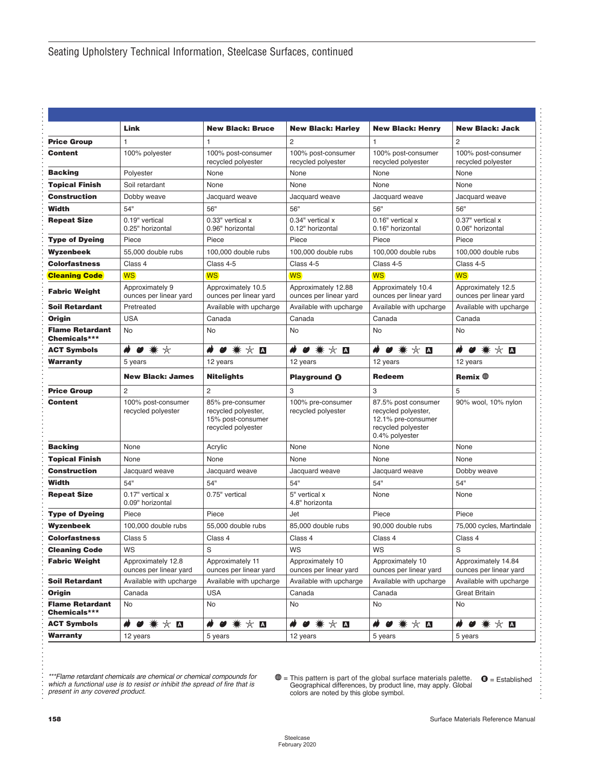<span id="page-7-0"></span>

|                                        | Link                                         | <b>New Black: Bruce</b>                                                            | <b>New Black: Harley</b>                      | <b>New Black: Henry</b>                                                                                  | <b>New Black: Jack</b>                        |
|----------------------------------------|----------------------------------------------|------------------------------------------------------------------------------------|-----------------------------------------------|----------------------------------------------------------------------------------------------------------|-----------------------------------------------|
| <b>Price Group</b>                     | $\mathbf{1}$                                 | 1                                                                                  | $\overline{c}$                                | 1                                                                                                        | $\overline{c}$                                |
| <b>Content</b>                         | 100% polyester                               | 100% post-consumer<br>recycled polyester                                           | 100% post-consumer<br>recycled polyester      | 100% post-consumer<br>recycled polyester                                                                 | 100% post-consumer<br>recycled polyester      |
| <b>Backing</b>                         | Polyester                                    | None                                                                               | None                                          | None                                                                                                     | None                                          |
| <b>Topical Finish</b>                  | Soil retardant                               | None                                                                               | None                                          | None                                                                                                     | None                                          |
| Construction                           | Dobby weave                                  | Jacquard weave                                                                     | Jacquard weave                                | Jacquard weave                                                                                           | Jacquard weave                                |
| Width                                  | 54"                                          | 56"                                                                                | 56"                                           | 56"                                                                                                      | 56"                                           |
| <b>Repeat Size</b>                     | 0.19" vertical<br>0.25" horizontal           | 0.33" vertical x<br>0.96" horizontal                                               | 0.34" vertical x<br>0.12" horizontal          | 0.16" vertical x<br>0.16" horizontal                                                                     | 0.37" vertical x<br>0.06" horizontal          |
| <b>Type of Dyeing</b>                  | Piece                                        | Piece                                                                              | Piece                                         | Piece                                                                                                    | Piece                                         |
| Wyzenbeek                              | 55,000 double rubs                           | 100,000 double rubs                                                                | 100,000 double rubs                           | 100,000 double rubs                                                                                      | 100,000 double rubs                           |
| <b>Colorfastness</b>                   | Class 4                                      | Class 4-5                                                                          | Class 4-5                                     | Class 4-5                                                                                                | Class 4-5                                     |
| <b>Cleaning Code</b>                   | <b>WS</b>                                    | <b>WS</b>                                                                          | <b>WS</b>                                     | <b>WS</b>                                                                                                | <b>WS</b>                                     |
| <b>Fabric Weight</b>                   | Approximately 9<br>ounces per linear yard    | Approximately 10.5<br>ounces per linear yard                                       | Approximately 12.88<br>ounces per linear yard | Approximately 10.4<br>ounces per linear yard                                                             | Approximately 12.5<br>ounces per linear yard  |
| <b>Soil Retardant</b>                  | Pretreated                                   | Available with upcharge                                                            | Available with upcharge                       | Available with upcharge                                                                                  | Available with upcharge                       |
| Oriain                                 | <b>USA</b>                                   | Canada                                                                             | Canada                                        | Canada                                                                                                   | Canada                                        |
| <b>Flame Retardant</b><br>Chemicals*** | No                                           | No                                                                                 | No                                            | No                                                                                                       | No                                            |
| <b>ACT Symbols</b>                     | $\clubsuit$                                  | * * ◘<br>Ø                                                                         | $\bullet$ * $\times$ $\blacksquare$<br>₩      | $\star$ 0<br>☀<br>ø                                                                                      | $\star$ A<br>₩<br>☀<br>Ø                      |
| Warranty                               | 5 years                                      | 12 years                                                                           | 12 years                                      | 12 years                                                                                                 | 12 years                                      |
|                                        | <b>New Black: James</b>                      | <b>Nitelights</b>                                                                  | <b>Playground @</b>                           | <b>Redeem</b>                                                                                            | Remix $\bigoplus$                             |
| <b>Price Group</b>                     | 2                                            | $\overline{c}$                                                                     | 3                                             | 3                                                                                                        | 5                                             |
| Content                                | 100% post-consumer<br>recycled polyester     | 85% pre-consumer<br>recycled polyester,<br>15% post-consumer<br>recycled polyester | 100% pre-consumer<br>recycled polyester       | 87.5% post consumer<br>recycled polyester,<br>12.1% pre-consumer<br>recycled polyester<br>0.4% polyester | 90% wool, 10% nylon                           |
| <b>Backing</b>                         | None                                         | Acrylic                                                                            | None                                          | None                                                                                                     | None                                          |
| <b>Topical Finish</b>                  | None                                         | None                                                                               | None                                          | None                                                                                                     | None                                          |
| <b>Construction</b>                    | Jacquard weave                               | Jacquard weave                                                                     | Jacquard weave                                | Jacquard weave                                                                                           | Dobby weave                                   |
| Width                                  | 54"                                          | 54"                                                                                | 54"                                           | 54"                                                                                                      | 54"                                           |
| <b>Repeat Size</b>                     | 0.17" vertical x<br>0.09" horizontal         | 0.75" vertical                                                                     | 5" vertical x<br>4.8" horizonta               | None                                                                                                     | None                                          |
| <b>Type of Dyeing</b>                  | Piece                                        | Piece                                                                              | Jet                                           | Piece                                                                                                    | Piece                                         |
| Wyzenbeek                              | 100,000 double rubs                          | 55,000 double rubs                                                                 | 85,000 double rubs                            | 90,000 double rubs                                                                                       | 75,000 cycles, Martindale                     |
| Colorfastness                          | Class 5                                      | Class 4                                                                            | Class 4                                       | Class 4                                                                                                  | Class 4                                       |
| <b>Cleaning Code</b>                   | WS                                           | S                                                                                  | WS                                            | WS                                                                                                       | S                                             |
| <b>Fabric Weight</b>                   | Approximately 12.8<br>ounces per linear yard | Approximately 11<br>ounces per linear yard                                         | Approximately 10<br>ounces per linear yard    | Approximately 10<br>ounces per linear yard                                                               | Approximately 14.84<br>ounces per linear yard |
| <b>Soil Retardant</b>                  | Available with upcharge                      | Available with upcharge                                                            | Available with upcharge                       | Available with upcharge                                                                                  | Available with upcharge                       |
| Origin                                 | Canada                                       | <b>USA</b>                                                                         | Canada                                        | Canada                                                                                                   | <b>Great Britain</b>                          |
| <b>Flame Retardant</b><br>Chemicals*** | No                                           | No                                                                                 | No                                            | No                                                                                                       | No                                            |
| <b>ACT Symbols</b>                     | $\bullet$ * $\times$ $\blacksquare$<br>₩     | ☆ ∆<br>☀                                                                           | $\bullet$ * $\times$ $\blacksquare$           | ☆■<br>☀<br>Ø                                                                                             | $\bullet$ * $\times$ $\blacksquare$<br>₩      |
| Warranty                               | 12 years                                     | 5 years                                                                            | 12 years                                      | 5 years                                                                                                  | 5 years                                       |

*which a functional use is to resist or inhibit the spread of fire that is present in any covered product.*

Flame retardant chemicals are chemical or chemical compounds for<br>which a functional use is to resist or inhibit the spread of fire that is<br>present in any covered product.<br>colors are noted by this globe symbol.

. . . . . . . . . . . . . . .

. . . . . . . . . . . . . . . . . . . . . . . . . . . . . . . . . . . . . . . . . . . . . . . . . . . . . . . . . . . . . . . . . . . . . . . . . . . . . . . . . . . . . . . . . . . . . . . . . . . . . . . . . . . . . . . . . . . . . . . . . . . . . . . .

. . . . . . . . . . . .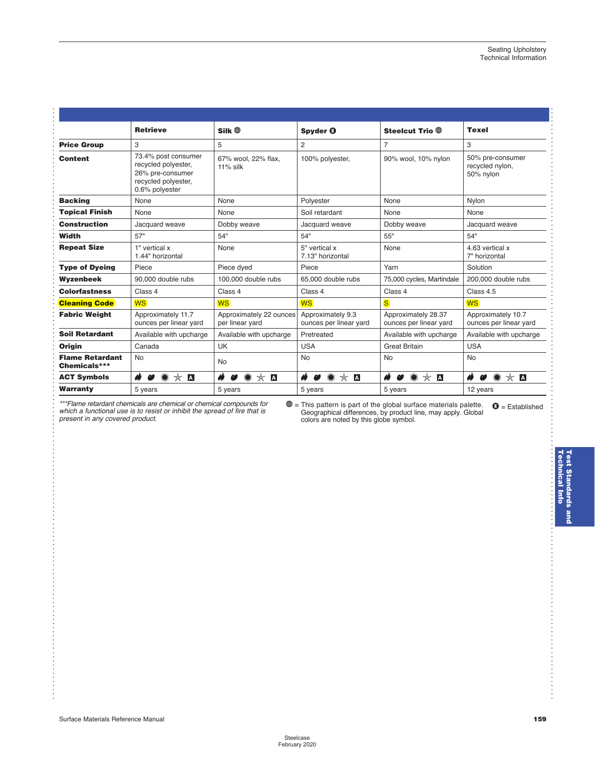|                                        | <b>Retrieve</b>                                                                                         | $Silk \oplus$                              | Spyder <b>@</b>                             | Steelcut Trio <sup>®</sup>                    | <b>Texel</b>                                     |
|----------------------------------------|---------------------------------------------------------------------------------------------------------|--------------------------------------------|---------------------------------------------|-----------------------------------------------|--------------------------------------------------|
| <b>Price Group</b>                     | 3                                                                                                       | 5                                          | $\overline{2}$                              | $\overline{7}$                                | 3                                                |
| <b>Content</b>                         | 73.4% post consumer<br>recycled polyester,<br>26% pre-consumer<br>recycled polyester,<br>0.6% polyester | 67% wool, 22% flax,<br>$11\%$ silk         | 100% polyester,                             | 90% wool, 10% nylon                           | 50% pre-consumer<br>recycled nylon,<br>50% nylon |
| <b>Backing</b>                         | None                                                                                                    | None                                       | Polyester                                   | None                                          | Nylon                                            |
| <b>Topical Finish</b>                  | None                                                                                                    | None                                       | Soil retardant                              | None                                          | None                                             |
| <b>Construction</b>                    | Jacquard weave                                                                                          | Dobby weave                                | Jacquard weave                              | Dobby weave                                   | Jacquard weave                                   |
| Width                                  | 57"                                                                                                     | 54"                                        | 54"                                         | 55"                                           | 54"                                              |
| <b>Repeat Size</b>                     | 1" vertical x<br>1.44" horizontal                                                                       | None                                       | 5" vertical x<br>7.13" horizontal           | None                                          | 4.63 vertical x<br>7" horizontal                 |
| <b>Type of Dyeing</b>                  | Piece                                                                                                   | Piece dyed                                 | Piece                                       | Yarn                                          | Solution                                         |
| Wyzenbeek                              | 90,000 double rubs                                                                                      | 100,000 double rubs                        | 65,000 double rubs                          | 75,000 cycles, Martindale                     | 200,000 double rubs                              |
| <b>Colorfastness</b>                   | Class 4                                                                                                 | Class 4                                    | Class 4                                     | Class 4                                       | Class 4.5                                        |
| <b>Cleaning Code</b>                   | <b>WS</b>                                                                                               | <b>WS</b>                                  | <b>WS</b>                                   | <sub>S</sub>                                  | <b>WS</b>                                        |
| <b>Fabric Weight</b>                   | Approximately 11.7<br>ounces per linear yard                                                            | Approximately 22 ounces<br>per linear yard | Approximately 9.3<br>ounces per linear yard | Approximately 28.37<br>ounces per linear yard | Approximately 10.7<br>ounces per linear yard     |
| <b>Soil Retardant</b>                  | Available with upcharge                                                                                 | Available with upcharge                    | Pretreated                                  | Available with upcharge                       | Available with upcharge                          |
| <b>Origin</b>                          | Canada                                                                                                  | <b>UK</b>                                  | <b>USA</b>                                  | <b>Great Britain</b>                          | <b>USA</b>                                       |
| <b>Flame Retardant</b><br>Chemicals*** | <b>No</b>                                                                                               | <b>No</b>                                  | <b>No</b>                                   | <b>No</b>                                     | <b>No</b>                                        |
| <b>ACT Symbols</b>                     | ☀<br>$\star$ D<br>ω                                                                                     | ☀<br>$\star$ D<br>ø                        | * * □<br>$\boldsymbol{\omega}$              | ☀<br>₩<br>☆ ∆<br>$\boldsymbol{\omega}$        | ŵ<br>☀<br>$\star$ 0<br>ø                         |
| <b>Warranty</b>                        | 5 years                                                                                                 | 5 years                                    | 5 years                                     | 5 years                                       | 12 years                                         |

<span id="page-8-0"></span>. . . . . . . . . . . . . . . . . . . . . . . . . . . . . . . . . . . . . . . . . . . . . . . . . . . . . . . . . . . . . . .

. . . . . . . . . . . . . . . . . . . . .

. . . . . . . . . . . . . . . . . . . . . . . . . . . . . . . . . . . . . . . . . . . . . . . . . . . . . . . . . . .

Flame retardant chemicals are chemical or chemical compounds for  $\bigcirc$  = This pattern is part of the global surface materials palette.  $\bigcirc$  = Established which a functional use is to resist or inhibit the spread of fire t i = This pattern is part of the global surface materials palette. Geographical differences, by product line, may apply. Global colors are noted by this globe symbol.

. . . . . . . . . . . . . . . . . . . . . . . . . . . . . . . . . . . . . . . . . . . . . . .

. . . . . . . . . . . . . . . . . . . . . . . .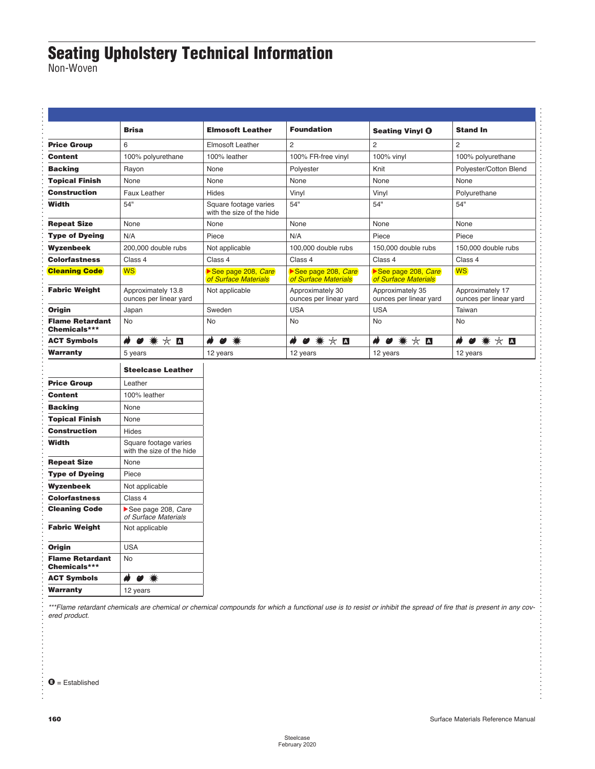### <span id="page-9-0"></span>**Seating Upholstery Technical Information**

Non-Woven

|                                        | <b>Brisa</b>                                       | <b>Elmosoft Leather</b>                            | <b>Foundation</b>                          | <b>Seating Vinyl @</b>                     | <b>Stand In</b>                            |
|----------------------------------------|----------------------------------------------------|----------------------------------------------------|--------------------------------------------|--------------------------------------------|--------------------------------------------|
| <b>Price Group</b>                     | 6                                                  | Elmosoft Leather                                   | $\overline{c}$                             | 2                                          | $\overline{2}$                             |
| <b>Content</b>                         | 100% polyurethane                                  | 100% leather                                       | 100% FR-free vinyl                         | 100% vinyl                                 | 100% polyurethane                          |
| <b>Backing</b>                         | Rayon                                              | None                                               | Polyester                                  | Knit                                       | Polyester/Cotton Blend                     |
| <b>Topical Finish</b>                  | None                                               | None                                               | None                                       | None                                       | None                                       |
| Construction                           | Faux Leather                                       | Hides                                              | Vinyl                                      | Vinyl                                      | Polyurethane                               |
| Width                                  | 54"                                                | Square footage varies<br>with the size of the hide | 54"                                        | 54"                                        | 54"                                        |
| <b>Repeat Size</b>                     | None                                               | None                                               | None                                       | None                                       | None                                       |
| <b>Type of Dyeing</b>                  | N/A                                                | Piece                                              | N/A                                        | Piece                                      | Piece                                      |
| Wyzenbeek                              | 200,000 double rubs                                | Not applicable                                     | 100,000 double rubs                        | 150,000 double rubs                        | 150,000 double rubs                        |
| <b>Colorfastness</b>                   | Class 4                                            | Class 4                                            | Class 4                                    | Class 4                                    | Class 4                                    |
| <b>Cleaning Code</b>                   | <b>WS</b>                                          | See page 208, Care<br>of Surface Materials         | See page 208, Care<br>of Surface Materials | See page 208, Care<br>of Surface Materials | <b>WS</b>                                  |
| <b>Fabric Weight</b>                   | Approximately 13.8<br>ounces per linear yard       | Not applicable                                     | Approximately 30<br>ounces per linear yard | Approximately 35<br>ounces per linear yard | Approximately 17<br>ounces per linear yard |
| Origin                                 | Japan                                              | Sweden                                             | <b>USA</b>                                 | <b>USA</b>                                 | Taiwan                                     |
| <b>Flame Retardant</b><br>Chemicals*** | No                                                 | <b>No</b>                                          | <b>No</b>                                  | <b>No</b>                                  | No                                         |
| <b>ACT Symbols</b>                     | $\bullet$ * $\times$ $\blacksquare$<br>₩           | <br>$\bullet$ $\ast$                               | H<br>$\bullet$ * $\times$ $\blacksquare$   | ₩<br>$\bullet$ * $\times$ $\blacksquare$   | $\bullet$ * $\times$ $\blacksquare$<br>ø   |
| Warranty                               | 5 years                                            | 12 years                                           | 12 years                                   | 12 years                                   | 12 years                                   |
|                                        | <b>Steelcase Leather</b>                           |                                                    |                                            |                                            |                                            |
| <b>Price Group</b>                     | Leather                                            |                                                    |                                            |                                            |                                            |
| Content                                | 100% leather                                       |                                                    |                                            |                                            |                                            |
| <b>Backing</b>                         | None                                               |                                                    |                                            |                                            |                                            |
| <b>Topical Finish</b>                  | None                                               |                                                    |                                            |                                            |                                            |
| <b>Construction</b>                    | Hides                                              |                                                    |                                            |                                            |                                            |
| Width                                  | Square footage varies<br>with the size of the hide |                                                    |                                            |                                            |                                            |
| <b>Repeat Size</b>                     | None                                               |                                                    |                                            |                                            |                                            |
| <b>Type of Dyeing</b>                  | Piece                                              |                                                    |                                            |                                            |                                            |
| Wyzenbeek                              | Not applicable                                     |                                                    |                                            |                                            |                                            |
| <b>Colorfastness</b>                   | Class 4                                            |                                                    |                                            |                                            |                                            |
| <b>Cleaning Code</b>                   | See page 208, Care<br>of Surface Materials         |                                                    |                                            |                                            |                                            |
| <b>Fabric Weight</b>                   | Not applicable                                     |                                                    |                                            |                                            |                                            |
| Origin                                 | <b>USA</b>                                         |                                                    |                                            |                                            |                                            |
| <b>Flame Retardant</b>                 | <b>No</b>                                          |                                                    |                                            |                                            |                                            |
|                                        |                                                    |                                                    |                                            |                                            |                                            |
| Chemicals***<br><b>ACT Symbols</b>     | ₩<br>$\bullet$ *                                   |                                                    |                                            |                                            |                                            |

. . . . *\*\*\*Flame retardant chemicals are chemical or chemical compounds for which a functional use is to resist or inhibit the spread of fire that is present in any covered product.*

. . . . . . . . . . . . . . . . . . . . . . . . . . . . . . . . . . . . . . . . . .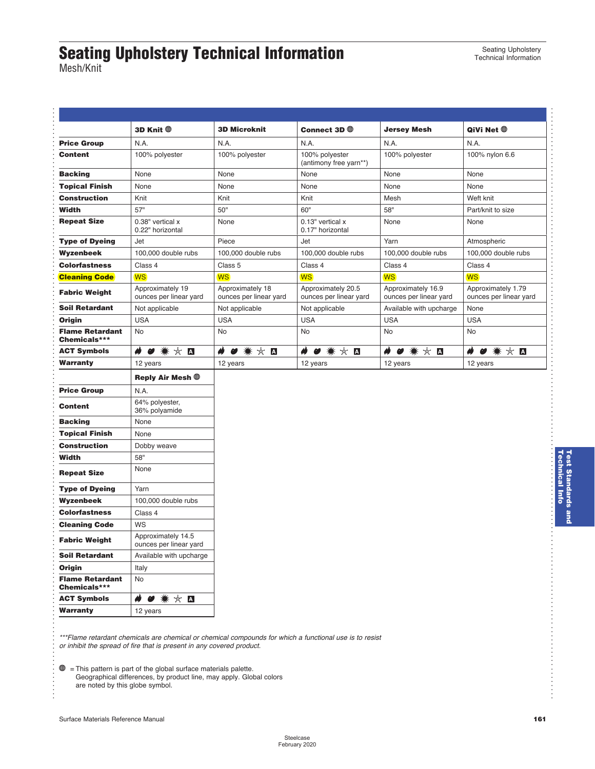## <span id="page-10-0"></span>**Seating Upholstery Technical Information**

Seating Upholstery Technical Information

> . . . . . . . . . . . . . . . . . . . . . . . . . . . . . . . . . . . . . . . . . . . . . . . . . . . . . . . . . . . . . . . . . . . . . . . . . . . . . . . . . . . . . . . . . . . . . . . . . . . . . . . . . . . . . . . . . . . . . . . . . . . . . . . . . . . . . . . . . . . . . . .

Mesh/Knit

. . . . . . . . . . . . . . . .

. . . . . . . . . . . . . . . . . . . . . . . . . . . . . . . . . . . . . . . . . . . . . . . . . . . . . . . . . . . . . . . . . . . . . . . . . . . . . . . . . . . . . . . . . . . . . . . . . . . . . . . . . . . . . . . . . . . . . . . . . . . . . . .

|                                                                                                 | 3D Knit <sup>®</sup>                         | <b>3D Microknit</b>                        | Connect 3D $\oplus$                          | <b>Jersey Mesh</b>                           | QiVi Net $①$                                 |
|-------------------------------------------------------------------------------------------------|----------------------------------------------|--------------------------------------------|----------------------------------------------|----------------------------------------------|----------------------------------------------|
| <b>Price Group</b>                                                                              | N.A.                                         | N.A.                                       | N.A.                                         | N.A.                                         | N.A.                                         |
| <b>Content</b>                                                                                  | 100% polyester                               | 100% polyester                             | 100% polyester<br>(antimony free yarn**)     | 100% polyester                               | 100% nylon 6.6                               |
| <b>Backing</b>                                                                                  | None                                         | None                                       | None                                         | None                                         | None                                         |
| <b>Topical Finish</b>                                                                           | None                                         | None                                       | None                                         | None                                         | None                                         |
| <b>Construction</b>                                                                             | Knit                                         | Knit                                       | Knit                                         | Mesh                                         | Weft knit                                    |
| Width                                                                                           | 57"                                          | 50"                                        | 60"                                          | 58"                                          | Part/knit to size                            |
| <b>Repeat Size</b>                                                                              | 0.38" vertical x<br>0.22" horizontal         | None                                       | 0.13" vertical x<br>0.17" horizontal         | None                                         | None                                         |
| <b>Type of Dyeing</b>                                                                           | Jet                                          | Piece                                      | Jet                                          | Yarn                                         | Atmospheric                                  |
| Wyzenbeek                                                                                       | 100,000 double rubs                          | 100,000 double rubs                        | 100,000 double rubs                          | 100,000 double rubs                          | 100,000 double rubs                          |
| <b>Colorfastness</b>                                                                            | Class 4                                      | Class 5                                    | Class 4                                      | Class 4                                      | Class 4                                      |
| <b>Cleaning Code</b>                                                                            | <b>WS</b>                                    | <b>WS</b>                                  | <b>WS</b>                                    | <b>WS</b>                                    | <b>WS</b>                                    |
| <b>Fabric Weight</b>                                                                            | Approximately 19<br>ounces per linear yard   | Approximately 18<br>ounces per linear yard | Approximately 20.5<br>ounces per linear yard | Approximately 16.9<br>ounces per linear yard | Approximately 1.79<br>ounces per linear yard |
| <b>Soil Retardant</b>                                                                           | Not applicable                               | Not applicable                             | Not applicable                               | Available with upcharge                      | None                                         |
| Origin                                                                                          | <b>USA</b>                                   | <b>USA</b>                                 | <b>USA</b>                                   | <b>USA</b>                                   | <b>USA</b>                                   |
| <b>Flame Retardant</b><br>Chemicals***                                                          | No                                           | No                                         | No                                           | No                                           | No                                           |
| <b>ACT Symbols</b>                                                                              | ₩<br>* * □<br>$\boldsymbol{\omega}$          | ₩ ☆ ◘                                      | * *<br>$\blacktriangle$<br>Ø                 | ø<br>* * □                                   | ø<br>☆■                                      |
| Warranty                                                                                        | 12 years                                     | 12 years                                   | 12 years                                     | 12 years                                     | 12 years                                     |
|                                                                                                 | Reply Air Mesh $@$                           |                                            |                                              |                                              |                                              |
| <b>Price Group</b>                                                                              | N.A.                                         |                                            |                                              |                                              |                                              |
| <b>Content</b>                                                                                  | 64% polyester,<br>36% polyamide              |                                            |                                              |                                              |                                              |
| <b>Backing</b>                                                                                  | None                                         |                                            |                                              |                                              |                                              |
| <b>Topical Finish</b>                                                                           | None                                         |                                            |                                              |                                              |                                              |
| <b>Construction</b>                                                                             | Dobby weave                                  |                                            |                                              |                                              |                                              |
| Width                                                                                           | 58"                                          |                                            |                                              |                                              |                                              |
| <b>Repeat Size</b>                                                                              | None                                         |                                            |                                              |                                              |                                              |
| <b>Type of Dyeing</b>                                                                           | Yarn                                         |                                            |                                              |                                              |                                              |
| Wyzenbeek                                                                                       | 100,000 double rubs                          |                                            |                                              |                                              |                                              |
| <b>Colorfastness</b>                                                                            | Class 4                                      |                                            |                                              |                                              |                                              |
| <b>Cleaning Code</b>                                                                            | WS                                           |                                            |                                              |                                              |                                              |
| <b>Fabric Weight</b>                                                                            | Approximately 14.5<br>ounces per linear yard |                                            |                                              |                                              |                                              |
|                                                                                                 |                                              |                                            |                                              |                                              |                                              |
|                                                                                                 | Available with upcharge                      |                                            |                                              |                                              |                                              |
|                                                                                                 | Italy                                        |                                            |                                              |                                              |                                              |
|                                                                                                 | No                                           |                                            |                                              |                                              |                                              |
| <b>Soil Retardant</b><br>Origin<br><b>Flame Retardant</b><br>Chemicals***<br><b>ACT Symbols</b> | $\clubsuit$<br>● ☀ ☆ ◘                       |                                            |                                              |                                              |                                              |

*\*\*\*Flame retardant chemicals are chemical or chemical compounds for which a functional use is to resist or inhibit the spread of fire that is present in any covered product.*

 $\mathbf{\oplus}$  = This pattern is part of the global surface materials palette. Geographical differences, by product line, may apply. Global colors are noted by this globe symbol.

**Technical Info Test Standards and** 

**Test Standards and<br>Technical Info**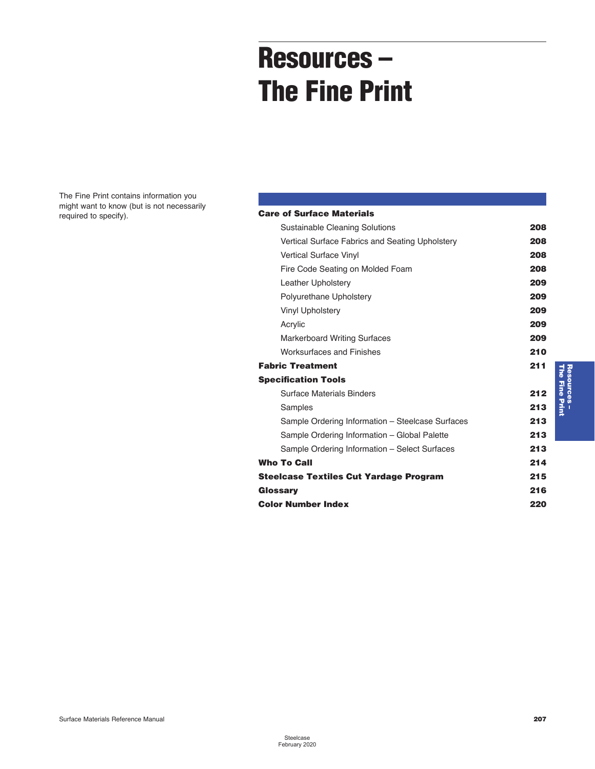# **Resources – The Fine Print**

<span id="page-11-0"></span>The Fine Print contains information you might want to know (but is not necessarily required to specify).

### **Care of Surface Materials**

| Sustainable Cleaning Solutions                   | 208 |
|--------------------------------------------------|-----|
| Vertical Surface Fabrics and Seating Upholstery  | 208 |
| <b>Vertical Surface Vinyl</b>                    | 208 |
| Fire Code Seating on Molded Foam                 | 208 |
| Leather Upholstery                               | 209 |
| Polyurethane Upholstery                          | 209 |
| Vinyl Upholstery                                 | 209 |
| Acrylic                                          | 209 |
| <b>Markerboard Writing Surfaces</b>              | 209 |
| <b>Worksurfaces and Finishes</b>                 | 210 |
| <b>Fabric Treatment</b>                          | 211 |
| <b>Specification Tools</b>                       |     |
| <b>Surface Materials Binders</b>                 | 212 |
| Samples                                          | 213 |
| Sample Ordering Information - Steelcase Surfaces | 213 |
| Sample Ordering Information - Global Palette     | 213 |
| Sample Ordering Information - Select Surfaces    | 213 |
| <b>Who To Call</b>                               | 214 |
| Steelcase Textiles Cut Yardage Program           | 215 |
| Glossary                                         | 216 |
| Color Number Index                               | 220 |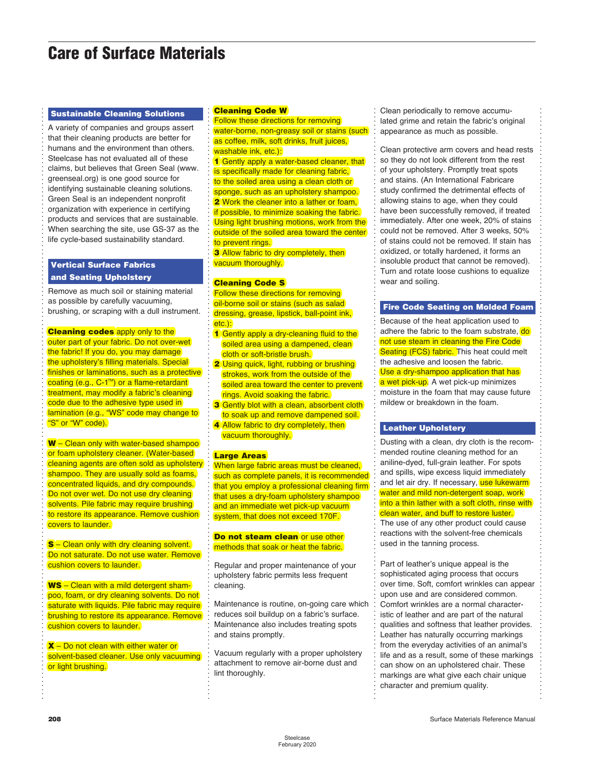### <span id="page-12-0"></span>**Care of Surface Materials**

#### **Sustainable Cleaning Solutions**

. . . . . . . . . . . . . . . . . . . . . . . . . . . . . . . . . . . . . . . . . . . . . . . . . . . . . . . . . . . . . . . . . . . . . . . . . . . . . . . . . . . . . . . . . . . . . . . . . . . . . . . . . . . . . . . . . . . . . . . . . . . . . . . . . . . . . . . . . . . . . . .

A variety of companies and groups assert that their cleaning products are better for humans and the environment than others. Steelcase has not evaluated all of these claims, but believes that Green Seal (www. greenseal.org) is one good source for identifying sustainable cleaning solutions. Green Seal is an independent nonprofit organization with experience in certifying products and services that are sustainable. When searching the site, use GS[-37](#page--1-0) as the life cycle-based sustainability standard.

#### **Vertical Surface Fabrics and Seating Upholstery**

Remove as much soil or staining material as possible by carefully vacuuming, brushing, or scraping with a dull instrument.

#### **Cleaning codes** apply only to the

outer part of your fabric. Do not over-wet the fabric! If you do, you may damage the upholstery's filling materials. Special finishes or laminations, such as a protective coating (e.g., C-1<sup>™</sup>) or a flame-retardant treatment, may modify a fabric's cleaning code due to the adhesive type used in lamination (e.g., "WS" code may change to "S" or "W" code).

**W** – Clean only with water-based shampoo or foam upholstery cleaner. (Water-based cleaning agents are often sold as upholstery shampoo. They are usually sold as foams, concentrated liquids, and dry compounds. Do not over wet. Do not use dry cleaning solvents. Pile fabric may require brushing to restore its appearance. Remove cushion covers to launder.

**S** – Clean only with dry cleaning solvent. Do not saturate. Do not use water. Remove cushion covers to launder.

**WS** – Clean with a mild detergent shampoo, foam, or dry cleaning solvents. Do not saturate with liquids. Pile fabric may require brushing to restore its appearance. Remove cushion covers to launder.

**X** – Do not clean with either water or solvent-based cleaner. Use only vacuuming or light brushing.

#### **Cleaning Code W**

. . . . . . . . . . . . . . . . . . . . . . . . . . . . . . . . . . . . . . . . . . . . . . . . . . . . . . . . . . . . . . . . . . . . . . . . . . . . . . . . . . . . . . . . . . . . . . . . . . . . . . . . . . . . . . . . . . . . . . . . . . . . . . . . . . . . . . . . . . . . . . .

Follow these directions for removing water-borne, non-greasy soil or stains (such as coffee, milk, soft drinks, fruit juices, washable ink, etc.):

**[1](#page-0-0)** Gently apply a water-based cleaner, that is specifically made for cleaning fabric, to the soiled area using a clean cloth or sponge, such as an upholstery shampoo. **[2](#page--1-0)** Work the cleaner into a lather or foam, if possible, to minimize soaking the fabric. Using light brushing motions, work from the outside of the soiled area toward the center to prevent rings.

**3** Allow fabric to dry completely, then vacuum thoroughly.

#### **Cleaning Code S**

Follow these directions for removing oil-borne soil or stains (such as salad dressing, grease, lipstick, ball-point ink. etc.):

- **1** Gently apply a dry-cleaning fluid to the soiled area using a dampened, clean cloth or soft-bristle brush.
- **[2](#page--1-0)** Using quick, light, rubbing or brushing strokes, work from the outside of the soiled area toward the center to prevent rings. Avoid soaking the fabric.
- **3** Gently blot with a clean, absorbent cloth to soak up and remove dampened soil.
- **4** Allow fabric to dry completely, then vacuum thoroughly.

#### **Large Areas**

When large fabric areas must be cleaned, such as complete panels, it is recommended that you employ a professional cleaning firm that uses a dry-foam upholstery shampoo and an immediate wet pick-up vacuum system, that does not exceed 170F.

#### **Do not steam clean** or use other methods that soak or heat the fabric.

Regular and proper maintenance of your upholstery fabric permits less frequent cleaning.

Maintenance is routine, on-going care which reduces soil buildup on a fabric's surface. Maintenance also includes treating spots and stains promptly.

Vacuum regularly with a proper upholstery attachment to remove air-borne dust and lint thoroughly.

Clean periodically to remove accumulated grime and retain the fabric's original appearance as much as possible.

. . . . . . . . . . . . . . . . . . . . . . . . . . . . . . . . . . . . . . . . . . . . . . . . . . . . . . . . . . . . . . . . . . . . . . . . . . . . . . . . . . . . . . . . . . . . . . . . . . . . . . . . . . . . . . . . . . . . . . . . . . . . . . . . . . . . . . . . . . . . . . .

. . . . . . . . . . . . . . . . . . . . . . . . . . . . . . . . . . . . . . . . . . . . . . . . . . . . . . . . . . . . . . . . . . . . . . . . . . . . . . . . . . . . . . . . . . . . . . . . . . . . . . . . . . . . . . . . . . . . . . . . . . . . . . . . . . . . . . . . . . . . . . .

Clean protective arm covers and head rests so they do not look different from the rest of your upholstery. Promptly treat spots and stains. (An International Fabricare study confirmed the detrimental effects of allowing stains to age, when they could have been successfully removed, if treated immediately. After one week, 20% of stains could not be removed. After [3](#page--1-0) weeks, 50% of stains could not be removed. If stain has oxidized, or totally hardened, it forms an insoluble product that cannot be removed). Turn and rotate loose cushions to equalize wear and soiling.

#### **Fire Code Seating on Molded Foam**

Because of the heat application used to adhere the fabric to the foam substrate. do not use steam in cleaning the Fire Code Seating (FCS) fabric. This heat could melt the adhesive and loosen the fabric. Use a dry-shampoo application that has a wet pick-up. A wet pick-up minimizes moisture in the foam that may cause future mildew or breakdown in the foam.

#### **Leather Upholstery**

Dusting with a clean, dry cloth is the recommended routine cleaning method for an aniline-dyed, full-grain leather. For spots and spills, wipe excess liquid immediately and let air dry. If necessary, use lukewarm water and mild non-detergent soap, work into a thin lather with a soft cloth, rinse with clean water, and buff to restore luster. The use of any other product could cause

reactions with the solvent-free chemicals used in the tanning process.

Part of leather's unique appeal is the sophisticated aging process that occurs over time. Soft, comfort wrinkles can appear upon use and are considered common. Comfort wrinkles are a normal characteristic of leather and are part of the natural qualities and softness that leather provides. Leather has naturally occurring markings from the everyday activities of an animal's life and as a result, some of these markings can show on an upholstered chair. These markings are what give each chair unique character and premium quality.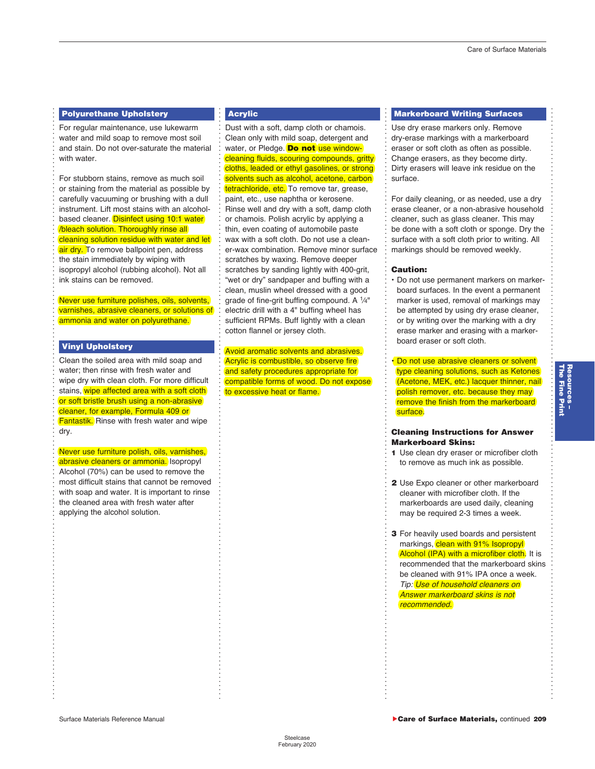. . . . . . . . . . . . . . . . . . . . . . . . . . . . . . . . . . . . . . . . . . . . . . . . . . . . . . . . . . . . . . . . . . . . . . . . . . . . . . . . . . . . . . . . . . . . . . . . . . . . . . . . . . . . . . . . . . . . . . . . . . . . . . . . . . . . . . . . . . . . . . .

#### **Polyurethane Upholstery**

<span id="page-13-0"></span>. . . . . . . . . . . . . . . . . . . . . . . . . . . . . . . . . . . . . . . . . . . . . . . . . . . . . . . . . . . . . . . . . . . . . . . . . . . . . . . . . . . . . . . . . . . . . . . . . . . . . . . . . . . . . . . . . . . . . . . . . . . . . . . . . . . . . . . . . . . . . . .

For regular maintenance, use lukewarm water and mild soap to remove most soil and stain. Do not over-saturate the material with water.

For stubborn stains, remove as much soil or staining from the material as possible by carefully vacuuming or brushing with a dull instrument. Lift most stains with an alcohol-based cleaner. Disinfect using [10:](#page--1-0)[1](#page-0-0) water /bleach solution. Thoroughly rinse all cleaning solution residue with water and let air dry. To remove ballpoint pen, address the stain immediately by wiping with isopropyl alcohol (rubbing alcohol). Not all ink stains can be removed.

Never use furniture polishes, oils, solvents, varnishes, abrasive cleaners, or solutions of ammonia and water on polyurethane.

#### **Vinyl Upholstery**

Clean the soiled area with mild soap and water; then rinse with fresh water and wipe dry with clean cloth. For more difficult stains, wipe affected area with a soft cloth or soft bristle brush using a non-abrasive cleaner, for example, Formula 409 or **Fantastik.** Rinse with fresh water and wipe dry.

Never use furniture polish, oils, varnishes, abrasive cleaners or ammonia. Isopropyl Alcohol (70%) can be used to remove the most difficult stains that cannot be removed with soap and water. It is important to rinse the cleaned area with fresh water after applying the alcohol solution.

#### **Acrylic**

. . . . . . . . . . . . . . . . . . . . . . . . . . . . . . . . . . . . . . . . . . . . . . . . . . . . . . . . . . . . . . . . . . . . . . . . . . . . . . . . . . . . . . . . . . . . . . . . . . . . . . . . . . . . . . . . . . . . . . . . . . . . . . . . . . . . . . . . . . . . . . .

Dust with a soft, damp cloth or chamois. Clean only with mild soap, detergent and water, or Pledge. **Do not** use windowcleaning fluids, scouring compounds, gritty cloths, leaded or ethyl gasolines, or strong solvents such as alcohol, acetone, carbon tetrachloride, etc. To remove tar, grease, paint, etc., use naphtha or kerosene. Rinse well and dry with a soft, damp cloth or chamois. Polish acrylic by applying a thin, even coating of automobile paste wax with a soft cloth. Do not use a cleaner-wax combination. Remove minor surface scratches by waxing. Remove deeper scratches by sanding lightly with 400-grit, "wet or dry" sandpaper and buffing with a clean, muslin wheel dressed with a good grade of fine-grit buffing compound. A  $\frac{1}{4}$ " electric drill with a 4" buffing wheel has sufficient RPMs. Buff lightly with a clean cotton flannel or jersey cloth.

Avoid aromatic solvents and abrasives. Acrylic is combustible, so observe fire and safety procedures appropriate for compatible forms of wood. Do not expose to excessive heat or flame.

#### **Markerboard Writing Surfaces**

Use dry erase markers only. Remove dry-erase markings with a markerboard eraser or soft cloth as often as possible. Change erasers, as they become dirty. Dirty erasers will leave ink residue on the surface.

For daily cleaning, or as needed, use a dry erase cleaner, or a non-abrasive household cleaner, such as glass cleaner. This may be done with a soft cloth or sponge. Dry the surface with a soft cloth prior to writing. All markings should be removed weekly.

#### **Caution:**

. . . . . . . . . . . . . . . . . . . . . . . . . . . . . . . . . . . . . . . . . . . . . . . . . . . . . . . . . . . . . . . . . . . . . . . . . . . . . . . . . . . . . . . . . . . . . . . . . . . . . . . . . . . . . . . . . . . . . . . . . . . . . . . . . . . . . . . . . . . . . . .

• Do not use permanent markers on markerboard surfaces. In the event a permanent marker is used, removal of markings may be attempted by using dry erase cleaner, or by writing over the marking with a dry erase marker and erasing with a markerboard eraser or soft cloth.

• Do not use abrasive cleaners or solvent type cleaning solutions, such as Ketones (Acetone, MEK, etc.) lacquer thinner, nail polish remover, etc. because they may remove the finish from the markerboard surface.

#### **Cleaning Instructions for Answer Markerboard Skins:**

- **[1](#page-0-0)** Use clean dry eraser or microfiber cloth to remove as much ink as possible.
- **[2](#page--1-0)** Use Expo cleaner or other markerboard cleaner with microfiber cloth. If the markerboards are used daily, cleaning may be required [2-3](#page--1-0) times a week.
- **[3](#page--1-0)** For heavily used boards and persistent markings, clean with 91% Isopropyl Alcohol (IPA) with a microfiber cloth. It is recommended that the markerboard skins be cleaned with 91% IPA once a week. *Tip: Use of household cleaners on Answer markerboard skins is not recommended.*